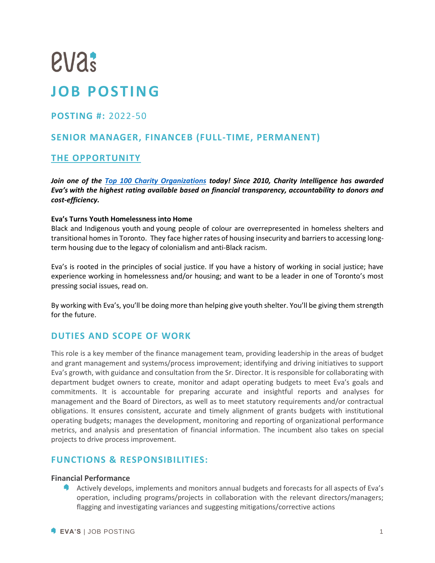# **eva: JOB POSTING**

# **POSTING #:** 2022-50

# **SENIOR MANAGER, FINANCEB (FULL-TIME, PERMANENT)**

# **THE OPPORTUNITY**

*Join one of the [Top 100 Charity Organizations](https://www.charityintelligence.ca/charity-details/158-eva-s-initiatives) today! Since 2010, Charity Intelligence has awarded Eva's with the highest rating available based on financial transparency, accountability to donors and cost-efficiency.*

#### **Eva's Turns Youth Homelessness into Home**

Black and Indigenous youth and young people of colour are overrepresented in homeless shelters and transitional homes in Toronto. They face higher rates of housing insecurity and barriers to accessing longterm housing due to the legacy of colonialism and anti-Black racism.

Eva's is rooted in the principles of social justice. If you have a history of working in social justice; have experience working in homelessness and/or housing; and want to be a leader in one of Toronto's most pressing social issues, read on.

By working with Eva's, you'll be doing more than helping give youth shelter. You'll be giving them strength for the future.

# **DUTIES AND SCOPE OF WORK**

This role is a key member of the finance management team, providing leadership in the areas of budget and grant management and systems/process improvement; identifying and driving initiatives to support Eva's growth, with guidance and consultation from the Sr. Director. It is responsible for collaborating with department budget owners to create, monitor and adapt operating budgets to meet Eva's goals and commitments. It is accountable for preparing accurate and insightful reports and analyses for management and the Board of Directors, as well as to meet statutory requirements and/or contractual obligations. It ensures consistent, accurate and timely alignment of grants budgets with institutional operating budgets; manages the development, monitoring and reporting of organizational performance metrics, and analysis and presentation of financial information. The incumbent also takes on special projects to drive process improvement.

## **FUNCTIONS & RESPONSIBILITIES:**

#### **Financial Performance**

Actively develops, implements and monitors annual budgets and forecasts for all aspects of Eva's operation, including programs/projects in collaboration with the relevant directors/managers; flagging and investigating variances and suggesting mitigations/corrective actions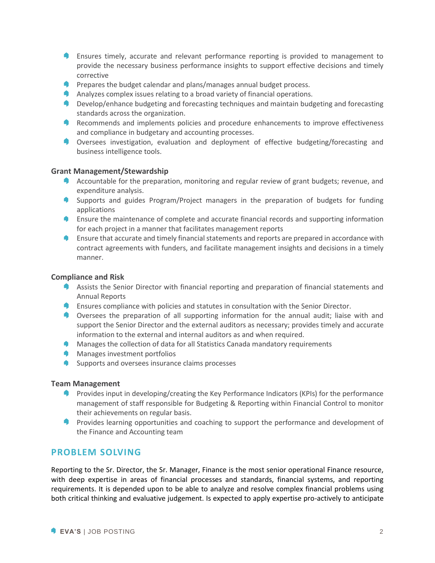- **Ensures timely, accurate and relevant performance reporting is provided to management to** provide the necessary business performance insights to support effective decisions and timely corrective
- **P** Prepares the budget calendar and plans/manages annual budget process.
- Analyzes complex issues relating to a broad variety of financial operations.
- **Develop/enhance budgeting and forecasting techniques and maintain budgeting and forecasting** standards across the organization.
- **P** Recommends and implements policies and procedure enhancements to improve effectiveness and compliance in budgetary and accounting processes.
- Oversees investigation, evaluation and deployment of effective budgeting/forecasting and business intelligence tools.

#### **Grant Management/Stewardship**

- Accountable for the preparation, monitoring and regular review of grant budgets; revenue, and expenditure analysis.
- **I** Supports and guides Program/Project managers in the preparation of budgets for funding applications
- **Ensure the maintenance of complete and accurate financial records and supporting information** for each project in a manner that facilitates management reports
- **E** Ensure that accurate and timely financial statements and reports are prepared in accordance with contract agreements with funders, and facilitate management insights and decisions in a timely manner.

#### **Compliance and Risk**

- Assists the Senior Director with financial reporting and preparation of financial statements and Annual Reports
- **Ensures compliance with policies and statutes in consultation with the Senior Director.**
- **Oversees the preparation of all supporting information for the annual audit; liaise with and** support the Senior Director and the external auditors as necessary; provides timely and accurate information to the external and internal auditors as and when required.
- **Manages the collection of data for all Statistics Canada mandatory requirements**
- **Manages investment portfolios**
- Supports and oversees insurance claims processes

#### **Team Management**

- **P** Provides input in developing/creating the Key Performance Indicators (KPIs) for the performance management of staff responsible for Budgeting & Reporting within Financial Control to monitor their achievements on regular basis.
- **Provides learning opportunities and coaching to support the performance and development of** the Finance and Accounting team

## **PROBLEM SOLVING**

Reporting to the Sr. Director, the Sr. Manager, Finance is the most senior operational Finance resource, with deep expertise in areas of financial processes and standards, financial systems, and reporting requirements. It is depended upon to be able to analyze and resolve complex financial problems using both critical thinking and evaluative judgement. Is expected to apply expertise pro-actively to anticipate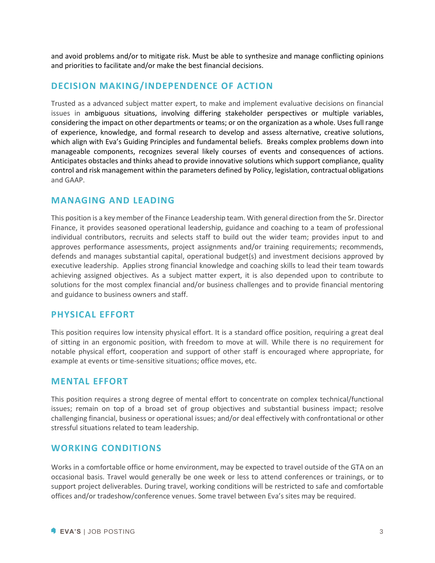and avoid problems and/or to mitigate risk. Must be able to synthesize and manage conflicting opinions and priorities to facilitate and/or make the best financial decisions.

## **DECISION MAKING/INDEPENDENCE OF ACTION**

Trusted as a advanced subject matter expert, to make and implement evaluative decisions on financial issues in ambiguous situations, involving differing stakeholder perspectives or multiple variables, considering the impact on other departments or teams; or on the organization as a whole. Uses full range of experience, knowledge, and formal research to develop and assess alternative, creative solutions, which align with Eva's Guiding Principles and fundamental beliefs. Breaks complex problems down into manageable components, recognizes several likely courses of events and consequences of actions. Anticipates obstacles and thinks ahead to provide innovative solutions which support compliance, quality control and risk management within the parameters defined by Policy, legislation, contractual obligations and GAAP.

# **MANAGING AND LEADING**

This position is a key member of the Finance Leadership team. With general direction from the Sr. Director Finance, it provides seasoned operational leadership, guidance and coaching to a team of professional individual contributors, recruits and selects staff to build out the wider team; provides input to and approves performance assessments, project assignments and/or training requirements; recommends, defends and manages substantial capital, operational budget(s) and investment decisions approved by executive leadership. Applies strong financial knowledge and coaching skills to lead their team towards achieving assigned objectives. As a subject matter expert, it is also depended upon to contribute to solutions for the most complex financial and/or business challenges and to provide financial mentoring and guidance to business owners and staff.

## **PHYSICAL EFFORT**

This position requires low intensity physical effort. It is a standard office position, requiring a great deal of sitting in an ergonomic position, with freedom to move at will. While there is no requirement for notable physical effort, cooperation and support of other staff is encouraged where appropriate, for example at events or time-sensitive situations; office moves, etc.

## **MENTAL EFFORT**

This position requires a strong degree of mental effort to concentrate on complex technical/functional issues; remain on top of a broad set of group objectives and substantial business impact; resolve challenging financial, business or operational issues; and/or deal effectively with confrontational or other stressful situations related to team leadership.

## **WORKING CONDITIONS**

Works in a comfortable office or home environment, may be expected to travel outside of the GTA on an occasional basis. Travel would generally be one week or less to attend conferences or trainings, or to support project deliverables. During travel, working conditions will be restricted to safe and comfortable offices and/or tradeshow/conference venues. Some travel between Eva's sites may be required.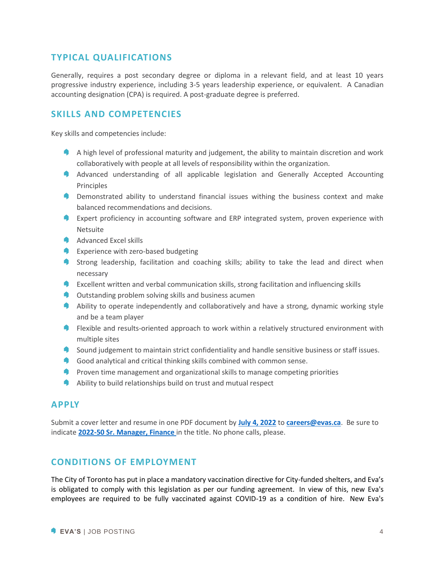# **TYPICAL QUALIFICATIONS**

Generally, requires a post secondary degree or diploma in a relevant field, and at least 10 years progressive industry experience, including 3-5 years leadership experience, or equivalent. A Canadian accounting designation (CPA) is required. A post-graduate degree is preferred.

# **SKILLS AND COMPETENCIES**

Key skills and competencies include:

- A high level of professional maturity and judgement, the ability to maintain discretion and work collaboratively with people at all levels of responsibility within the organization.
- Advanced understanding of all applicable legislation and Generally Accepted Accounting **Principles**
- **Demonstrated ability to understand financial issues withing the business context and make** balanced recommendations and decisions.
- **Expert proficiency in accounting software and ERP integrated system, proven experience with** Netsuite
- Advanced Excel skills
- **Experience with zero-based budgeting**
- **Strong leadership, facilitation and coaching skills; ability to take the lead and direct when** necessary
- Excellent written and verbal communication skills, strong facilitation and influencing skills
- **Outstanding problem solving skills and business acumen**
- Ability to operate independently and collaboratively and have a strong, dynamic working style and be a team player
- **P** Flexible and results-oriented approach to work within a relatively structured environment with multiple sites
- **P** Sound judgement to maintain strict confidentiality and handle sensitive business or staff issues.
- Good analytical and critical thinking skills combined with common sense.
- **P** Proven time management and organizational skills to manage competing priorities
- Ability to build relationships build on trust and mutual respect

## **APPLY**

Submit a cover letter and resume in one PDF document by **July 4, 2022** to **[careers@evas.ca](mailto:careers@evas.ca)**. Be sure to indicate **2022-50 Sr. Manager, Finance** in the title. No phone calls, please.

## **CONDITIONS OF EMPLOYMENT**

The City of Toronto has put in place a mandatory vaccination directive for City-funded shelters, and Eva's is obligated to comply with this legislation as per our funding agreement. In view of this, new Eva's employees are required to be fully vaccinated against COVID-19 as a condition of hire. New Eva's